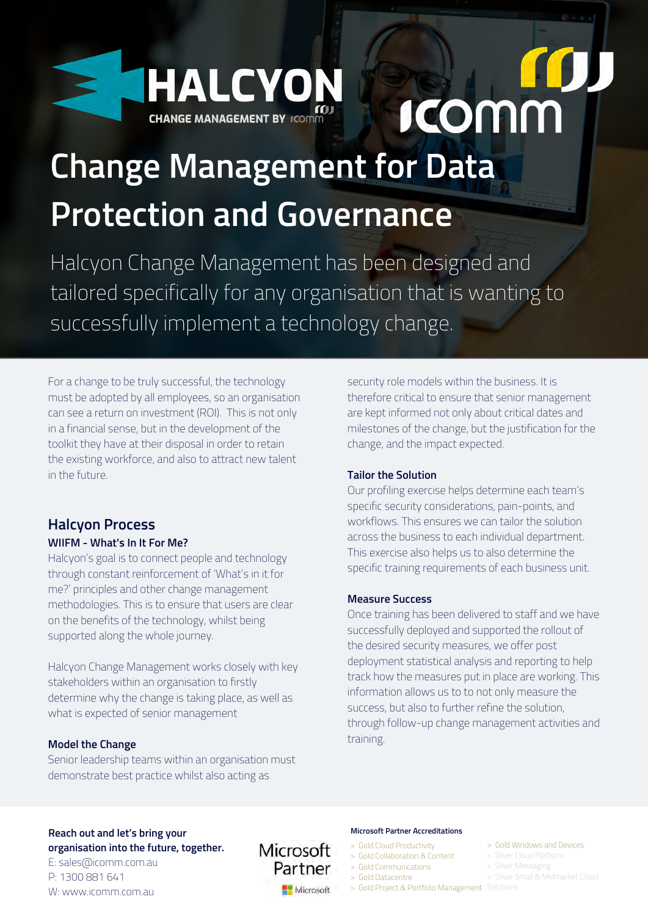

# **ICOMM**

# **[Change Management for Data](https://bit.ly/HCMforDG) Protection and Governance**

Halcyon Change Management has been designed and tailored specifically for any organisation that is wanting to successfully implement a technology change.

For a change to be truly successful, the technology must be adopted by all employees, so an organisation can see a return on investment (ROI). This is not only in a financial sense, but in the development of the toolkit they have at their disposal in order to retain the existing workforce, and also to attract new talent in the future.

# **Halcyon Process**

#### **WIIFM - What's In It For Me?**

Halcyon's goal is to connect people and technology through constant reinforcement of 'What's in it for me?' principles and other change management methodologies. This is to ensure that users are clear on the benefits of the technology, whilst being supported along the whole journey.

Halcyon Change Management works closely with key stakeholders within an organisation to firstly determine why the change is taking place, as well as what is expected of senior management

#### **Model the Change**

Senior leadership teams within an organisation must demonstrate best practice whilst also acting as

security role models within the business. It is therefore critical to ensure that senior management are kept informed not only about critical dates and milestones of the change, but the justification for the change, and the impact expected.

#### **Tailor the Solution**

Our profiling exercise helps determine each team's specific security considerations, pain-points, and workflows. This ensures we can tailor the solution across the business to each individual department. This exercise also helps us to also determine the specific training requirements of each business unit.

#### **Measure Success**

Once training has been delivered to staff and we have successfully deployed and supported the rollout of the desired security measures, we offer post deployment statistical analysis and reporting to help track how the measures put in place are working. This information allows us to to not only measure the success, but also to further refine the solution, through follow-up change management activities and training.

#### **Reach out and let's bring your organisation into the future, together.**

E: sales@icomm.com.au P: 1300 881 641 W: www.icomm.com.au



#### **Microsoft Partner Accreditations**

- > Gold Cloud Productivity
- > Gold Collaboration & Content
- > Gold Communications
- > Gold Datacentre
- > Gold Project & Portfolio Management Solutions
- > Gold Windows and Devices
- 
- > Silver Messaging
- > Silver Small & Midmarket Cloud
-